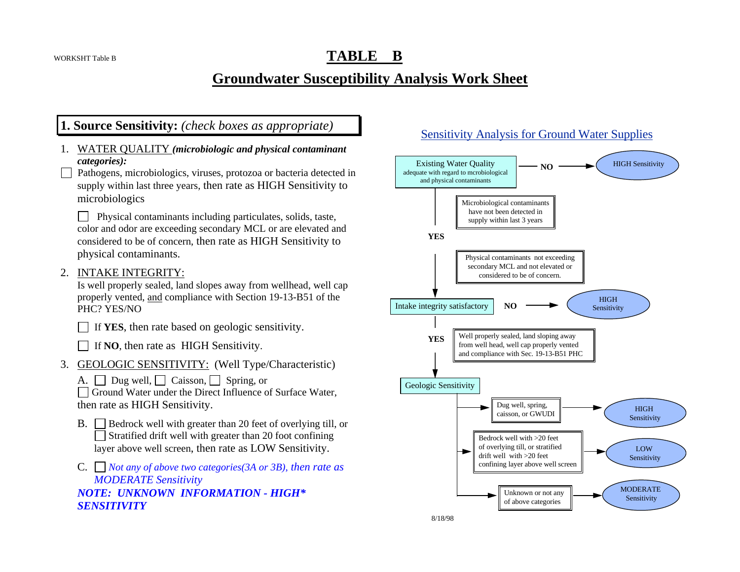# **TABLE B**

# **Groundwater Susceptibility Analysis Work Sheet**

## **1. Source Sensitivity:** *(check boxes as appropriate)*

- 1. WATER QUALITY *(microbiologic and physical contaminant categories):*
- Pathogens, microbiologics, viruses, protozoa or bacteria detected in supply within last three years, then rate as HIGH Sensitivity to microbiologics

 Physical contaminants including particulates, solids, taste, color and odor are exceeding secondary MCL or are elevated and considered to be of concern, then rate as HIGH Sensitivity to physical contaminants.

2. INTAKE INTEGRITY:

Is well properly sealed, land slopes away from wellhead, well cap properly vented, and compliance with Section 19-13-B51 of the PHC? YES/NO

 $\Box$  If **YES**, then rate based on geologic sensitivity.

If **NO**, then rate as HIGH Sensitivity.

- 3. GEOLOGIC SENSITIVITY: (Well Type/Characteristic)
	- A.  $\Box$  Dug well,  $\Box$  Caisson,  $\Box$  Spring, or

Ground Water under the Direct Influence of Surface Water, then rate as HIGH Sensitivity.

- B.  $\Box$  Bedrock well with greater than 20 feet of overlying till, or  $\Box$  Stratified drift well with greater than 20 foot confining layer above well screen, then rate as LOW Sensitivity.
- C. *Not any of above two categories(3A or 3B), then rate as MODERATE Sensitivity NOTE: UNKNOWN INFORMATION - HIGH\* SENSITIVITY*

### Sensitivity Analysis for Ground Water Supplies

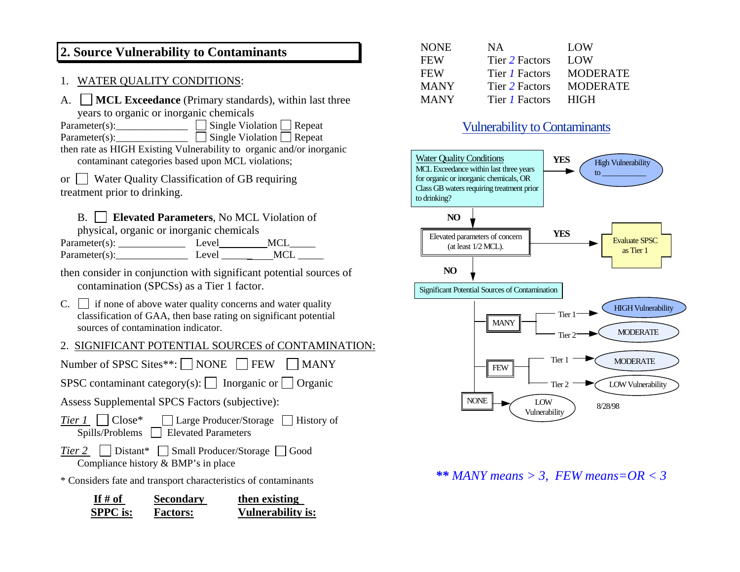## **2. Source Vulnerability to Contaminants**

### 1. WATER QUALITY CONDITIONS:

| A. $\Box$ MCL Exceedance (Primary standards), within last three |  |
|-----------------------------------------------------------------|--|
| years to organic or inorganic chemicals                         |  |

Parameter(s):  $\Box$  Single Violation  $\Box$  Repeat  $Parameter(s):$  Single Violation Repeat

then rate as HIGH Existing Vulnerability to organic and/or inorganic contaminant categories based upon MCL violations;

or Water Quality Classification of GB requiring treatment prior to drinking.

### B. **Elevated Parameters**, No MCL Violation of

physical, organic or inorganic chemicals

| Parameter(s):     | Level  | <b>MCI</b> |
|-------------------|--------|------------|
| Parameter $(s)$ : | Level. | <b>MCI</b> |

then consider in conjunction with significant potential sources of contamination (SPCSs) as a Tier 1 factor.

 $C.$  if none of above water quality concerns and water quality classification of GAA, then base rating on significant potential sources of contamination indicator.

### 2. SIGNIFICANT POTENTIAL SOURCES of CONTAMINATION:

Number of SPSC Sites\*\*:  $\Box$  NONE  $\Box$  FEW  $\Box$  MANY SPSC contaminant category(s):  $\Box$  Inorganic or  $\Box$  Organic Assess Supplemental SPCS Factors (subjective): *Tier 1* □ Close\* □ Large Producer/Storage □ History of Spills/Problems **Elevated Parameters** *Tier 2*  $\Box$  Distant\*  $\Box$  Small Producer/Storage  $\Box$  Good Compliance history & BMP's in place \* Considers fate and transport characteristics of contaminants

| If $#$ of       | <b>Secondary</b> | then existing            |
|-----------------|------------------|--------------------------|
| <b>SPPC</b> is: | <b>Factors:</b>  | <b>Vulnerability is:</b> |

| <b>NONE</b> | NA.                   | LOW             |
|-------------|-----------------------|-----------------|
| <b>FEW</b>  | Tier 2 Factors        | LOW             |
| <b>FEW</b>  | Tier <i>I</i> Factors | <b>MODERATE</b> |
| <b>MANY</b> | Tier 2 Factors        | <b>MODERATE</b> |
| <b>MANY</b> | Tier <i>I</i> Factors | <b>HIGH</b>     |

## Vulnerability to Contaminants



### *\*\* MANY means > 3, FEW means=OR < 3*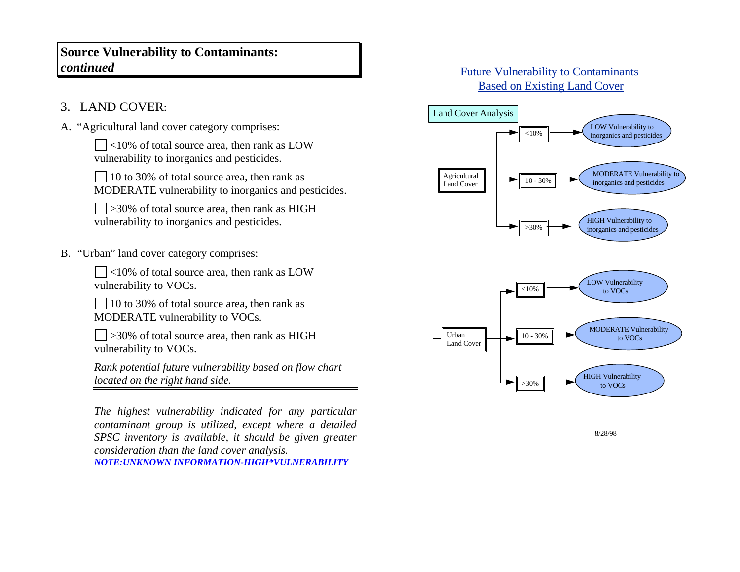## **Source Vulnerability to Contaminants:**  *continued*

# 3. LAND COVER:

A. "Agricultural land cover category comprises:

 $\Box$ <10% of total source area, then rank as LOW vulnerability to inorganics and pesticides.

 $\Box$  10 to 30% of total source area, then rank as MODERATE vulnerability to inorganics and pesticides.

 $\Box$  >30% of total source area, then rank as HIGH vulnerability to inorganics and pesticides.

B. "Urban" land cover category comprises:

 $\Box$ <10% of total source area, then rank as LOW vulnerability to VOCs.

 $\Box$  10 to 30% of total source area, then rank as MODERATE vulnerability to VOCs.

 $\Box$  >30% of total source area, then rank as HIGH vulnerability to VOCs.

*Rank potential future vulnerability based on flow chart located on the right hand side.*

*The highest vulnerability indicated for any particular contaminant group is utilized, except where a detailed SPSC inventory is available, it should be given greater consideration than the land cover analysis. NOTE:UNKNOWN INFORMATION-HIGH\*VULNERABILITY*

## Future Vulnerability to Contaminants Based on Existing Land Cover



8/28/98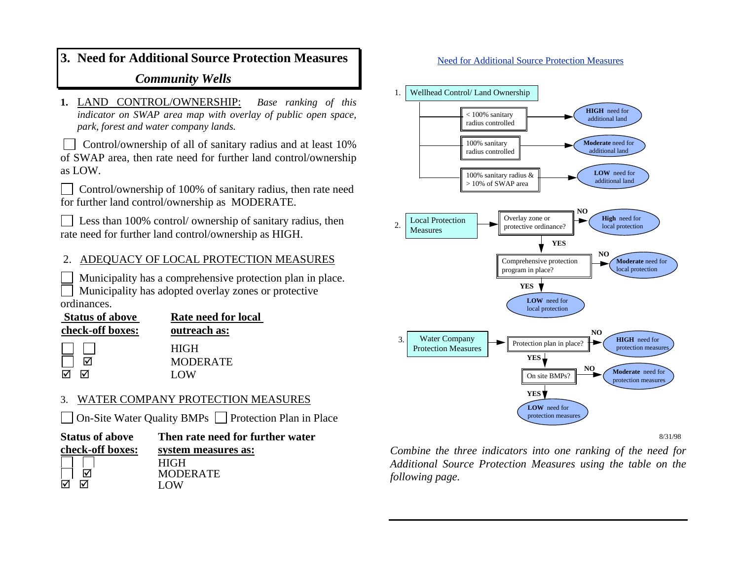# **3. Need for Additional Source Protection Measures**  *Community Wells*

**1.** LAND CONTROL/OWNERSHIP: *Base ranking of this indicator on SWAP area map with overlay of public open space, park, forest and water company lands.* 

Control/ownership of all of sanitary radius and at least  $10\%$ of SWAP area, then rate need for further land control/ownership as LOW.

| $\Box$ Control/ownership of 100% of sanitary radius, then rate need |
|---------------------------------------------------------------------|
| for further land control/ownership as MODERATE.                     |

 Less than 100% control/ ownership of sanitary radius, then rate need for further land control/ownership as HIGH.

### 2. ADEQUACY OF LOCAL PROTECTION MEASURES

 Municipality has a comprehensive protection plan in place. Municipality has adopted overlay zones or protective ordinances.

| <b>Status of above</b> | Rate need for local                   |  |
|------------------------|---------------------------------------|--|
| check-off boxes:       | outreach as:                          |  |
|                        | <b>HIGH</b><br><b>MODERATE</b><br>LOW |  |

### 3. WATER COMPANY PROTECTION MEASURES

On-Site Water Quality BMPs  $\Box$  Protection Plan in Place

| <b>Status of above</b> | Then rate need for further water |  |
|------------------------|----------------------------------|--|
| check-off boxes:       | system measures as:              |  |
|                        | <b>HIGH</b>                      |  |
|                        | <b>MODERATE</b>                  |  |
| ᇄ                      | LOW.                             |  |
|                        |                                  |  |

#### Need for Additional Source Protection Measures



8/31/98

*Combine the three indicators into one ranking of the need for Additional Source Protection Measures using the table on the following page.*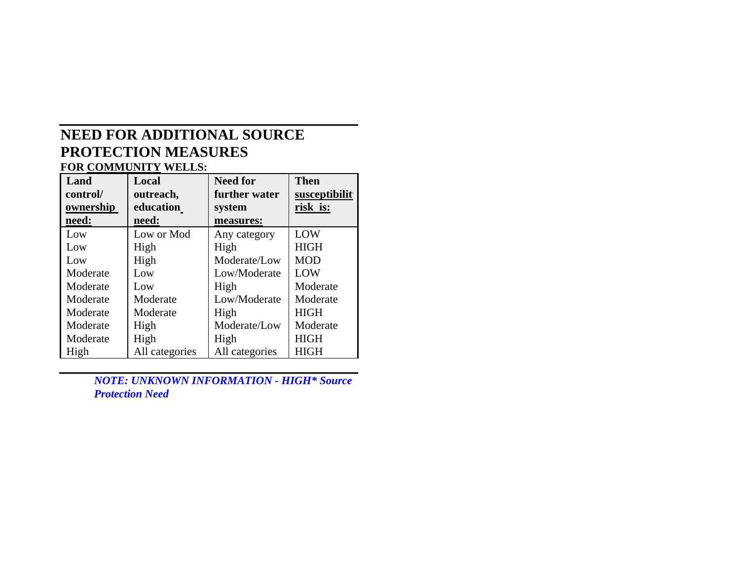# **NEED FOR ADDITIONAL SOURCE PROTECTION MEASURES**

**FOR COMMUNITY WELLS: Land control/ ownership need: Local outreach, education need: Need for further water system measures: Then susceptibilit y risk is:** Low | Low or Mod | Any category | LOW LowHig h Hig h HIGHLowHig h Moderate/LowMO D e LOW ModerateLowLow/ModerateModerateLowHig h ModerateModerateModerateL o w/Mo d erate ModerateModerateModerateHig hHIGHModerateHig h Mo d erate/L o wModerateModerateHig h Hig h HIGHHigh All categories All categories HIGH

> *NOTE: UNKNOWN INFORMATION - HIGH\* Source Protection Need*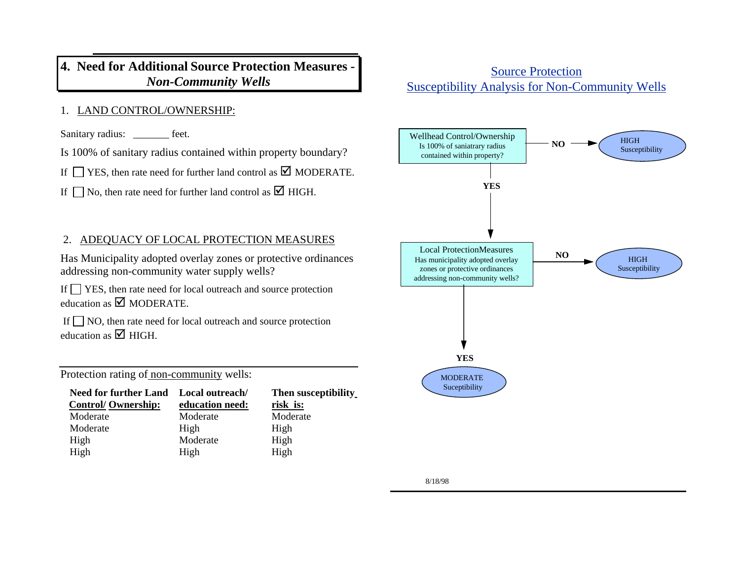## **4. Need for Additional Source Protection Measures -**  *Non-Community Wells*

### 1. LAND CONTROL/OWNERSHIP:

Sanitary radius: feet.

Is 100% of sanitary radius contained within property boundary?

If  $\Box$  YES, then rate need for further land control as  $\Box$  MODERATE.

If  $\Box$  No, then rate need for further land control as  $\Box$  HIGH.

## 2. ADEQUACY OF LOCAL PROTECTION MEASURES

Has Municipality adopted overlay zones or protective ordinances addressing non-community water supply wells?

If  $\Box$  YES, then rate need for local outreach and source protection education as  $\blacksquare$  MODERATE.

If  $\Box$  NO, then rate need for local outreach and source protection education as  $\boxtimes$  HIGH.

Protection rating of non-community wells:

| <b>Need for further Land</b> | Local outreach/ | Then susceptibility |
|------------------------------|-----------------|---------------------|
| <b>Control/Ownership:</b>    | education need: | risk is:            |
| Moderate                     | Moderate        | Moderate            |
| Moderate                     | High            | High                |
| High                         | Moderate        | High                |
| High                         | High            | High                |

## Source Protection Susceptibility Analysis for Non-Community Wells

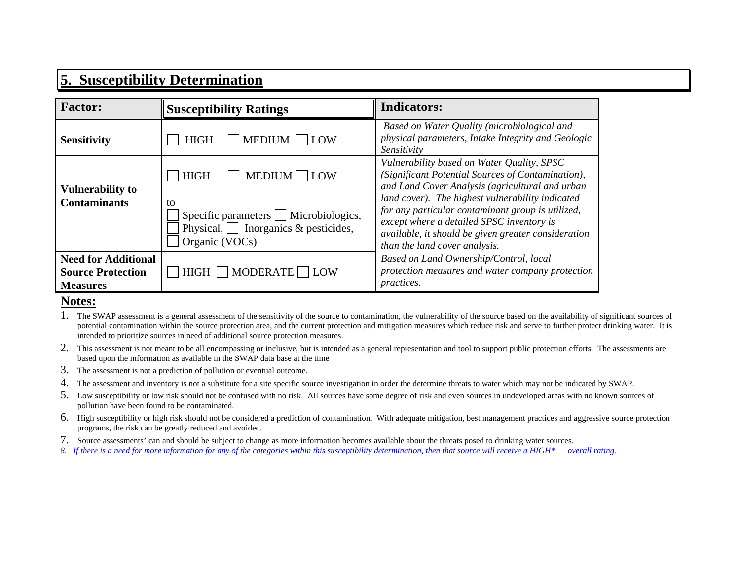# **5. Susceptibility Determination**

| <b>Factor:</b>                                                            | <b>Susceptibility Ratings</b>                                                                                                           | <b>Indicators:</b>                                                                                                                                                                                                                                                                                                                                                                               |
|---------------------------------------------------------------------------|-----------------------------------------------------------------------------------------------------------------------------------------|--------------------------------------------------------------------------------------------------------------------------------------------------------------------------------------------------------------------------------------------------------------------------------------------------------------------------------------------------------------------------------------------------|
| <b>Sensitivity</b>                                                        | $\Box$ MEDIUM $\Box$ LOW<br><b>HIGH</b>                                                                                                 | Based on Water Quality (microbiological and<br>physical parameters, Intake Integrity and Geologic<br>Sensitivity                                                                                                                                                                                                                                                                                 |
| <b>Vulnerability to</b><br><b>Contaminants</b>                            | $MEDIUM$ LOW<br><b>HIGH</b><br>to<br>Specific parameters Microbiologics,<br>Physical, $\Box$ Inorganics & pesticides,<br>Organic (VOCs) | Vulnerability based on Water Quality, SPSC<br>(Significant Potential Sources of Contamination),<br>and Land Cover Analysis (agricultural and urban<br>land cover). The highest vulnerability indicated<br>for any particular contaminant group is utilized,<br>except where a detailed SPSC inventory is<br>available, it should be given greater consideration<br>than the land cover analysis. |
| <b>Need for Additional</b><br><b>Source Protection</b><br><b>Measures</b> | HIGH $\Box$ MODERATE $\Box$ LOW                                                                                                         | Based on Land Ownership/Control, local<br>protection measures and water company protection<br><i>practices.</i>                                                                                                                                                                                                                                                                                  |

### **Notes:**

- 1. The SWAP assessment is a general assessment of the sensitivity of the source to contamination, the vulnerability of the source based on the availability of significant sources of potential contamination within the source protection area, and the current protection and mitigation measures which reduce risk and serve to further protect drinking water. It is intended to prioritize sources in need of additional source protection measures.
- 2. This assessment is not meant to be all encompassing or inclusive, but is intended as a general representation and tool to support public protection efforts. The assessments are based upon the information as available in the SWAP data base at the time
- 3. The assessment is not a prediction of pollution or eventual outcome.
- 4. The assessment and inventory is not a substitute for a site specific source investigation in order the determine threats to water which may not be indicated by SWAP.
- 5. Low susceptibility or low risk should not be confused with no risk. All sources have some degree of risk and even sources in undeveloped areas with no known sources of pollution have been found to be contaminated.
- 6. High susceptibility or high risk should not be considered a prediction of contamination. With adequate mitigation, best management practices and aggressive source protection programs, the risk can be greatly reduced and avoided.
- 7. Source assessments' can and should be subject to change as more information becomes available about the threats posed to drinking water sources.
- *8. If there is a need for more information for any of the categories within this susceptibility determination, then that source will receive a HIGH\* overall rating.*